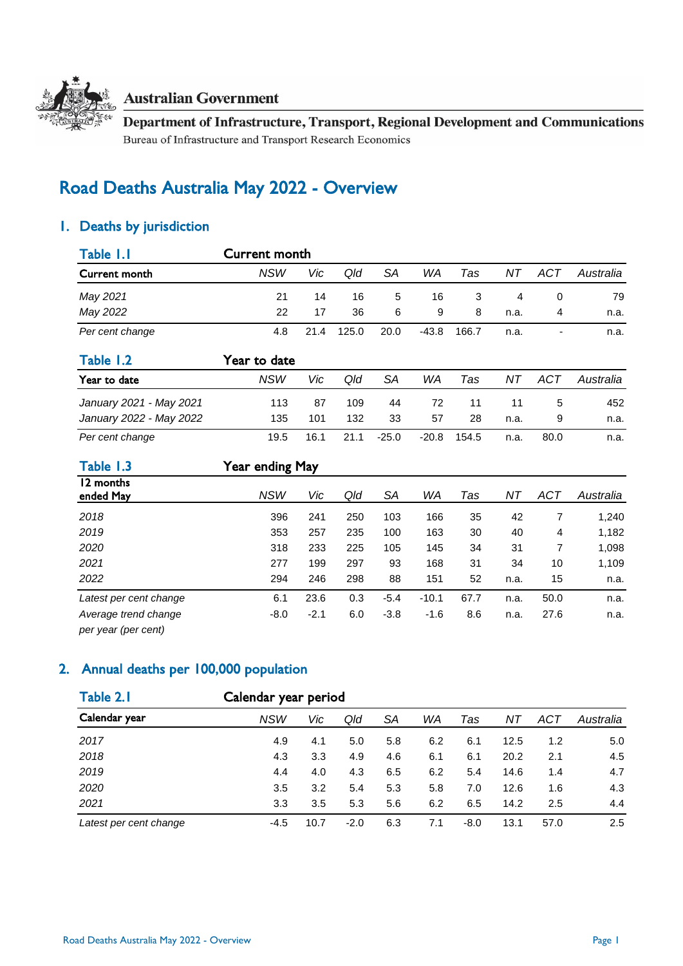

### **Australian Government**

Department of Infrastructure, Transport, Regional Development and Communications Bureau of Infrastructure and Transport Research Economics

# Road Deaths Australia May 2022 - Overview

# 1. Deaths by jurisdiction

| Table 1.1               | Current month   |      |       |           |         |       |      |                |           |  |
|-------------------------|-----------------|------|-------|-----------|---------|-------|------|----------------|-----------|--|
| Current month           | <b>NSW</b>      | Vic  | Qld   | <b>SA</b> | WA      | Tas   | ΝT   | <b>ACT</b>     | Australia |  |
| May 2021                | 21              | 14   | 16    | 5         | 16      | 3     | 4    | $\Omega$       | 79        |  |
| May 2022                | 22              | 17   | 36    | 6         | 9       | 8     | n.a. | 4              | n.a.      |  |
| Per cent change         | 4.8             | 21.4 | 125.0 | 20.0      | $-43.8$ | 166.7 | n.a. |                | n.a.      |  |
| Table 1.2               | Year to date    |      |       |           |         |       |      |                |           |  |
| Year to date            | <b>NSW</b>      | Vic  | Qld   | SA        | WA      | Tas   | ΝT   | <b>ACT</b>     | Australia |  |
| January 2021 - May 2021 | 113             | 87   | 109   | 44        | 72      | 11    | 11   | 5              | 452       |  |
| January 2022 - May 2022 | 135             | 101  | 132   | 33        | 57      | 28    | n.a. | 9              | n.a.      |  |
| Per cent change         | 19.5            | 16.1 | 21.1  | $-25.0$   | $-20.8$ | 154.5 | n.a. | 80.0           | n.a.      |  |
| Table 1.3               | Year ending May |      |       |           |         |       |      |                |           |  |
| 12 months<br>ended May  | <b>NSW</b>      | Vic  | Qld   | SA        | WA      | Tas   | ΝT   | ACT            | Australia |  |
| 2018                    | 396             | 241  | 250   | 103       | 166     | 35    | 42   | $\overline{7}$ | 1,240     |  |
| 2019                    | 353             | 257  | 235   | 100       | 163     | 30    | 40   | 4              | 1,182     |  |
| 2020                    | 318             | 233  | 225   | 105       | 145     | 34    | 31   | 7              | 1,098     |  |
| 2021                    | 277             | 199  | 297   | 93        | 168     | 31    | 34   | 10             | 1,109     |  |
| 2022                    | 294             | 246  | 298   | 88        | 151     | 52    | n.a. | 15             | n.a.      |  |

*Average trend change* -8.0 -2.1 6.0 -3.8 -1.6 8.6 n.a. 27.6 n.a. *per year (per cent)*

# 2. Annual deaths per 100,000 population

| Table 2.1<br>Calendar year | Calendar year period |      |        |     |     |        |      |            |           |
|----------------------------|----------------------|------|--------|-----|-----|--------|------|------------|-----------|
|                            | NSW                  | Vic  | Qld    | SА  | WA  | Tas    | ΝT   | <b>ACT</b> | Australia |
| 2017                       | 4.9                  | 4.1  | 5.0    | 5.8 | 6.2 | 6.1    | 12.5 | 1.2        | 5.0       |
| 2018                       | 4.3                  | 3.3  | 4.9    | 4.6 | 6.1 | 6.1    | 20.2 | 2.1        | 4.5       |
| 2019                       | 4.4                  | 4.0  | 4.3    | 6.5 | 6.2 | 5.4    | 14.6 | 1.4        | 4.7       |
| 2020                       | 3.5                  | 3.2  | 5.4    | 5.3 | 5.8 | 7.0    | 12.6 | 1.6        | 4.3       |
| 2021                       | 3.3                  | 3.5  | 5.3    | 5.6 | 6.2 | 6.5    | 14.2 | 2.5        | 4.4       |
| Latest per cent change     | $-4.5$               | 10.7 | $-2.0$ | 6.3 | 7.1 | $-8.0$ | 13.1 | 57.0       | 2.5       |

*Latest per cent change* 6.1 23.6 0.3 -5.4 -10.1 67.7 n.a. 50.0 n.a.